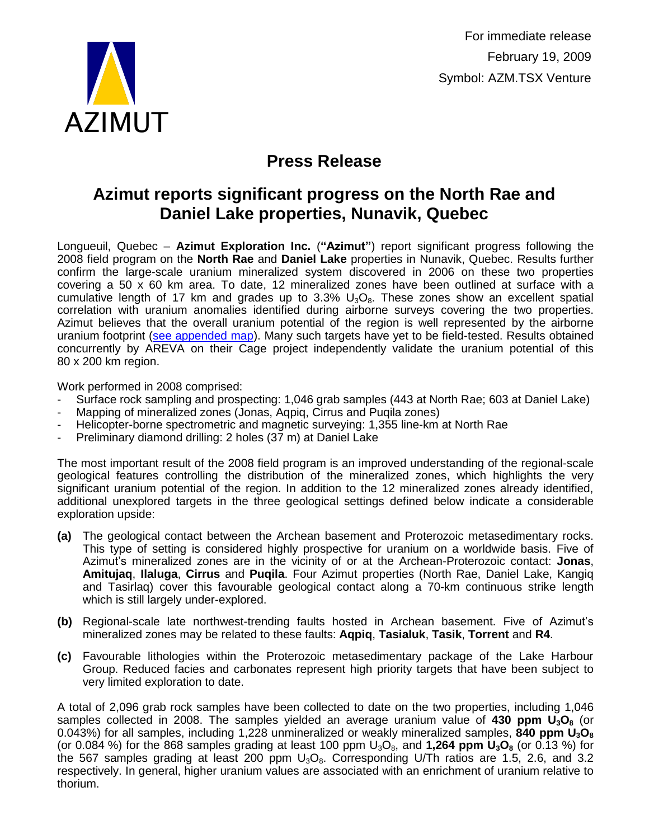

For immediate release February 19, 2009 Symbol: AZM.TSX Venture

# **Press Release**

### **Azimut reports significant progress on the North Rae and Daniel Lake properties, Nunavik, Quebec**

Longueuil, Quebec – **Azimut Exploration Inc.** (**"Azimut"**) report significant progress following the 2008 field program on the **North Rae** and **Daniel Lake** properties in Nunavik, Quebec. Results further confirm the large-scale uranium mineralized system discovered in 2006 on these two properties covering a 50 x 60 km area. To date, 12 mineralized zones have been outlined at surface with a cumulative length of 17 km and grades up to  $3.3\%$  U<sub>3</sub>O<sub>8</sub>. These zones show an excellent spatial correlation with uranium anomalies identified during airborne surveys covering the two properties. Azimut believes that the overall uranium potential of the region is well represented by the airborne uranium footprint [\(see appended map\)](http://www.azimut-exploration.com/en/Fig_AZM_PR_20090219.pdf). Many such targets have yet to be field-tested. Results obtained concurrently by AREVA on their Cage project independently validate the uranium potential of this 80 x 200 km region.

Work performed in 2008 comprised:

- Surface rock sampling and prospecting: 1,046 grab samples (443 at North Rae; 603 at Daniel Lake)
- Mapping of mineralized zones (Jonas, Aqpiq, Cirrus and Puqila zones)
- Helicopter-borne spectrometric and magnetic surveying: 1,355 line-km at North Rae
- Preliminary diamond drilling: 2 holes (37 m) at Daniel Lake

The most important result of the 2008 field program is an improved understanding of the regional-scale geological features controlling the distribution of the mineralized zones, which highlights the very significant uranium potential of the region. In addition to the 12 mineralized zones already identified, additional unexplored targets in the three geological settings defined below indicate a considerable exploration upside:

- **(a)** The geological contact between the Archean basement and Proterozoic metasedimentary rocks. This type of setting is considered highly prospective for uranium on a worldwide basis. Five of Azimut's mineralized zones are in the vicinity of or at the Archean-Proterozoic contact: **Jonas**, **Amitujaq**, **Ilaluga**, **Cirrus** and **Puqila**. Four Azimut properties (North Rae, Daniel Lake, Kangiq and Tasirlaq) cover this favourable geological contact along a 70-km continuous strike length which is still largely under-explored.
- **(b)** Regional-scale late northwest-trending faults hosted in Archean basement. Five of Azimut's mineralized zones may be related to these faults: **Aqpiq**, **Tasialuk**, **Tasik**, **Torrent** and **R4**.
- **(c)** Favourable lithologies within the Proterozoic metasedimentary package of the Lake Harbour Group. Reduced facies and carbonates represent high priority targets that have been subject to very limited exploration to date.

A total of 2,096 grab rock samples have been collected to date on the two properties, including 1,046 samples collected in 2008. The samples yielded an average uranium value of **430 ppm U3O<sup>8</sup>** (or 0.043%) for all samples, including 1,228 unmineralized or weakly mineralized samples, **840 ppm U3O<sup>8</sup>** (or 0.084 %) for the 868 samples grading at least 100 ppm  $U_3O_8$ , and **1,264 ppm**  $U_3O_8$  (or 0.13 %) for the 567 samples grading at least 200 ppm  $U_3O_8$ . Corresponding U/Th ratios are 1.5, 2.6, and 3.2 respectively. In general, higher uranium values are associated with an enrichment of uranium relative to thorium.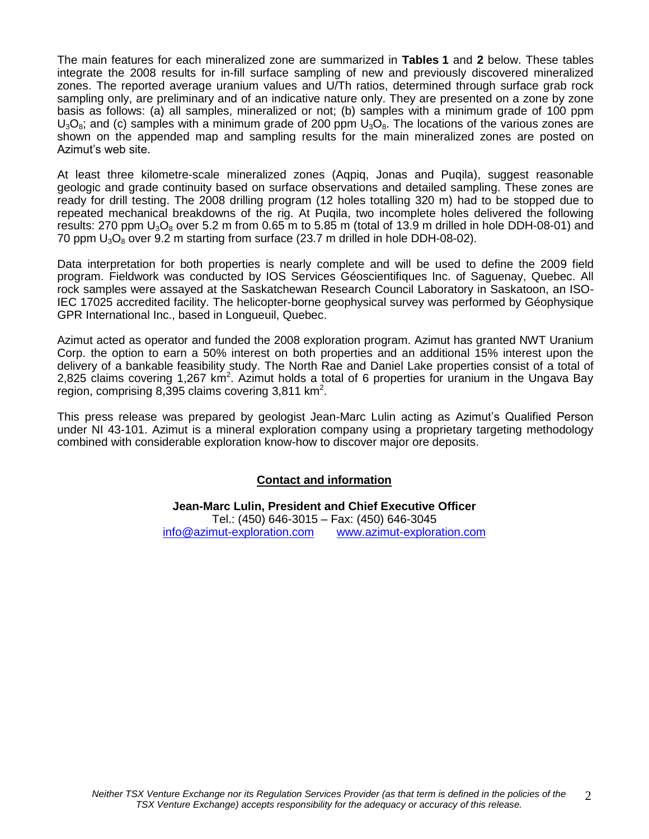The main features for each mineralized zone are summarized in **Tables 1** and **2** below. These tables integrate the 2008 results for in-fill surface sampling of new and previously discovered mineralized zones. The reported average uranium values and U/Th ratios, determined through surface grab rock sampling only, are preliminary and of an indicative nature only. They are presented on a zone by zone basis as follows: (a) all samples, mineralized or not; (b) samples with a minimum grade of 100 ppm  $U_3O_8$ ; and (c) samples with a minimum grade of 200 ppm  $U_3O_8$ . The locations of the various zones are shown on the appended map and sampling results for the main mineralized zones are posted on Azimut's web site.

At least three kilometre-scale mineralized zones (Aqpiq, Jonas and Puqila), suggest reasonable geologic and grade continuity based on surface observations and detailed sampling. These zones are ready for drill testing. The 2008 drilling program (12 holes totalling 320 m) had to be stopped due to repeated mechanical breakdowns of the rig. At Puqila, two incomplete holes delivered the following results: 270 ppm  $U_3O_8$  over 5.2 m from 0.65 m to 5.85 m (total of 13.9 m drilled in hole DDH-08-01) and 70 ppm  $U_3O_8$  over 9.2 m starting from surface (23.7 m drilled in hole DDH-08-02).

Data interpretation for both properties is nearly complete and will be used to define the 2009 field program. Fieldwork was conducted by IOS Services Géoscientifiques Inc. of Saguenay, Quebec. All rock samples were assayed at the Saskatchewan Research Council Laboratory in Saskatoon, an ISO-IEC 17025 accredited facility. The helicopter-borne geophysical survey was performed by Géophysique GPR International Inc., based in Longueuil, Quebec.

Azimut acted as operator and funded the 2008 exploration program. Azimut has granted NWT Uranium Corp. the option to earn a 50% interest on both properties and an additional 15% interest upon the delivery of a bankable feasibility study. The North Rae and Daniel Lake properties consist of a total of 2,825 claims covering 1,267 km<sup>2</sup>. Azimut holds a total of 6 properties for uranium in the Ungava Bay region, comprising 8,395 claims covering 3,811 km<sup>2</sup>.

This press release was prepared by geologist Jean-Marc Lulin acting as Azimut's Qualified Person under NI 43-101. Azimut is a mineral exploration company using a proprietary targeting methodology combined with considerable exploration know-how to discover major ore deposits.

#### **Contact and information**

**Jean-Marc Lulin, President and Chief Executive Officer** Tel.: (450) 646-3015 – Fax: (450) 646-3045 [info@azimut-exploration.com](mailto:info@azimut-exploration.com) [www.azimut-exploration.com](http://www.azimut-exploration.com/)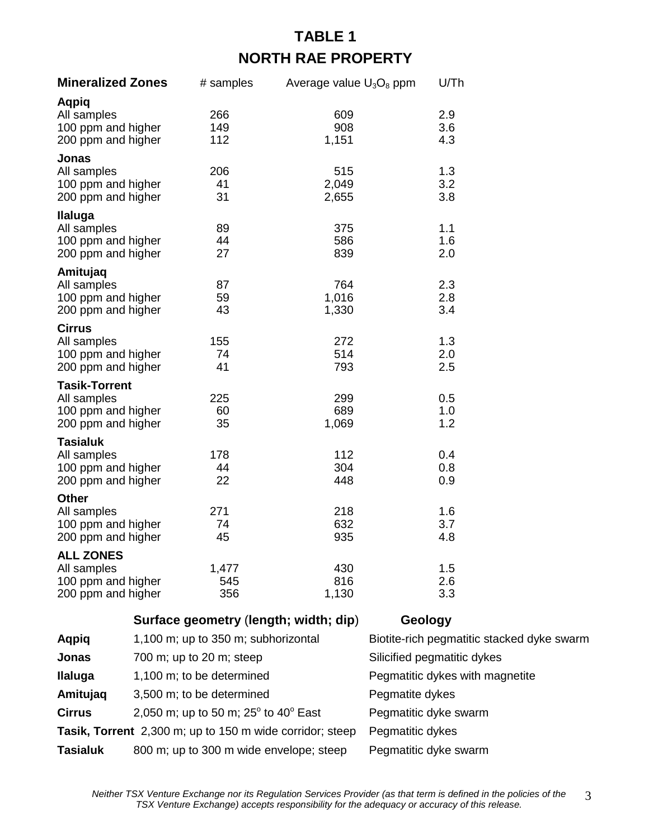## **TABLE 1 NORTH RAE PROPERTY**

| <b>Mineralized Zones</b>                                                        | # samples           | Average value U <sub>3</sub> O <sub>8</sub> ppm | U/Th              |
|---------------------------------------------------------------------------------|---------------------|-------------------------------------------------|-------------------|
| Aqpiq<br>All samples<br>100 ppm and higher<br>200 ppm and higher                | 266<br>149<br>112   | 609<br>908<br>1,151                             | 2.9<br>3.6<br>4.3 |
| Jonas<br>All samples<br>100 ppm and higher<br>200 ppm and higher                | 206<br>41<br>31     | 515<br>2,049<br>2,655                           | 1.3<br>3.2<br>3.8 |
| Ilaluga<br>All samples<br>100 ppm and higher<br>200 ppm and higher              | 89<br>44<br>27      | 375<br>586<br>839                               | 1.1<br>1.6<br>2.0 |
| Amitujaq<br>All samples<br>100 ppm and higher<br>200 ppm and higher             | 87<br>59<br>43      | 764<br>1,016<br>1,330                           | 2.3<br>2.8<br>3.4 |
| <b>Cirrus</b><br>All samples<br>100 ppm and higher<br>200 ppm and higher        | 155<br>74<br>41     | 272<br>514<br>793                               | 1.3<br>2.0<br>2.5 |
| <b>Tasik-Torrent</b><br>All samples<br>100 ppm and higher<br>200 ppm and higher | 225<br>60<br>35     | 299<br>689<br>1,069                             | 0.5<br>1.0<br>1.2 |
| <b>Tasialuk</b><br>All samples<br>100 ppm and higher<br>200 ppm and higher      | 178<br>44<br>22     | 112<br>304<br>448                               | 0.4<br>0.8<br>0.9 |
| <b>Other</b><br>All samples<br>100 ppm and higher<br>200 ppm and higher         | 271<br>74<br>45     | 218<br>632<br>935                               | 1.6<br>3.7<br>4.8 |
| <b>ALL ZONES</b><br>All samples<br>100 ppm and higher<br>200 ppm and higher     | 1,477<br>545<br>356 | 430<br>816<br>1,130                             | 1.5<br>2.6<br>3.3 |

|                 | Surface geometry (length; width; dip)                    | Geology                                    |
|-----------------|----------------------------------------------------------|--------------------------------------------|
| Aqpiq           | 1,100 m; up to 350 m; subhorizontal                      | Biotite-rich pegmatitic stacked dyke swarm |
| Jonas           | 700 m; up to 20 m; steep                                 | Silicified pegmatitic dykes                |
| <b>Ilaluga</b>  | 1,100 m; to be determined                                | Pegmatitic dykes with magnetite            |
| Amitujaq        | 3,500 m; to be determined                                | Pegmatite dykes                            |
| <b>Cirrus</b>   | 2,050 m; up to 50 m; $25^{\circ}$ to 40° East            | Pegmatitic dyke swarm                      |
|                 | Tasik, Torrent 2,300 m; up to 150 m wide corridor; steep | Pegmatitic dykes                           |
| <b>Tasialuk</b> | 800 m; up to 300 m wide envelope; steep                  | Pegmatitic dyke swarm                      |

*Neither TSX Venture Exchange nor its Regulation Services Provider (as that term is defined in the policies of the TSX Venture Exchange) accepts responsibility for the adequacy or accuracy of this release.* 3